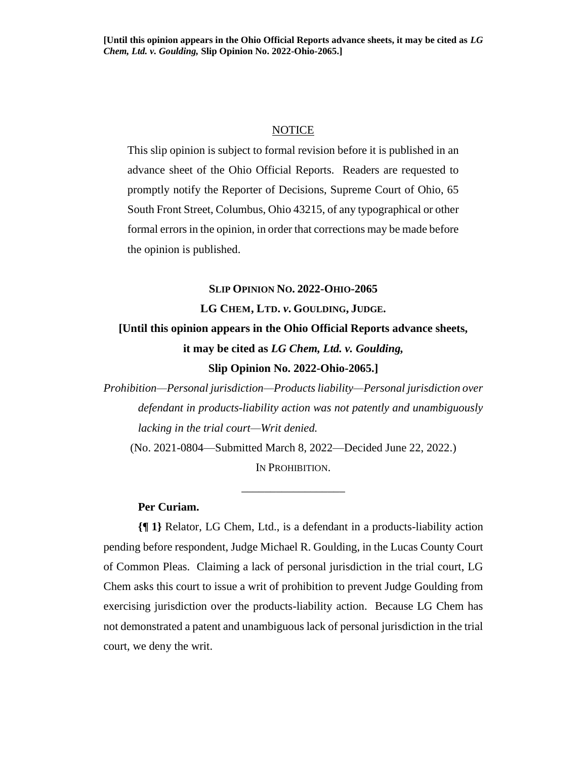## **NOTICE**

This slip opinion is subject to formal revision before it is published in an advance sheet of the Ohio Official Reports. Readers are requested to promptly notify the Reporter of Decisions, Supreme Court of Ohio, 65 South Front Street, Columbus, Ohio 43215, of any typographical or other formal errors in the opinion, in order that corrections may be made before the opinion is published.

**SLIP OPINION NO. 2022-OHIO-2065**

# **LG CHEM, LTD.** *v***. GOULDING, JUDGE. [Until this opinion appears in the Ohio Official Reports advance sheets, it may be cited as** *LG Chem, Ltd. v. Goulding,* **Slip Opinion No. 2022-Ohio-2065.]**

*Prohibition—Personal jurisdiction—Products liability—Personal jurisdiction over defendant in products-liability action was not patently and unambiguously lacking in the trial court—Writ denied.* (No. 2021-0804—Submitted March 8, 2022—Decided June 22, 2022.)

IN PROHIBITION.

\_\_\_\_\_\_\_\_\_\_\_\_\_\_\_\_\_\_

# **Per Curiam.**

**{¶ 1}** Relator, LG Chem, Ltd., is a defendant in a products-liability action pending before respondent, Judge Michael R. Goulding, in the Lucas County Court of Common Pleas. Claiming a lack of personal jurisdiction in the trial court, LG Chem asks this court to issue a writ of prohibition to prevent Judge Goulding from exercising jurisdiction over the products-liability action. Because LG Chem has not demonstrated a patent and unambiguous lack of personal jurisdiction in the trial court, we deny the writ.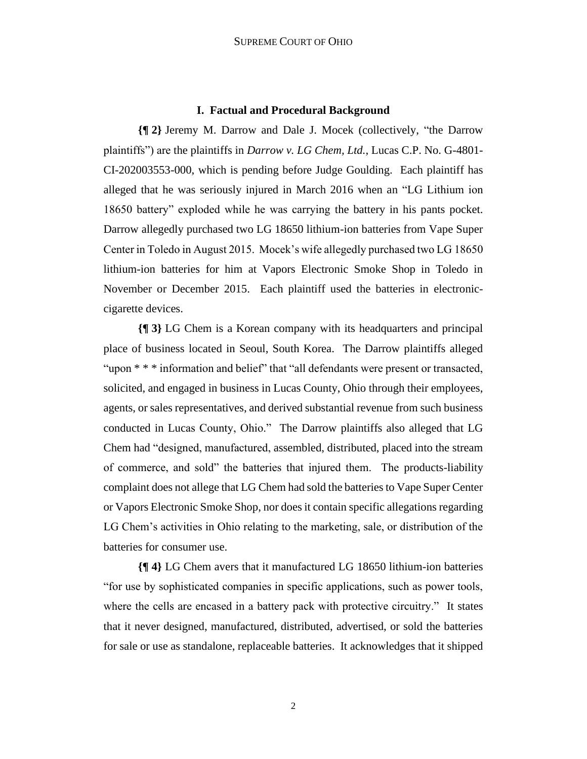#### **I. Factual and Procedural Background**

**{¶ 2}** Jeremy M. Darrow and Dale J. Mocek (collectively, "the Darrow plaintiffs") are the plaintiffs in *Darrow v. LG Chem, Ltd.*, Lucas C.P. No. G-4801- CI-202003553-000, which is pending before Judge Goulding. Each plaintiff has alleged that he was seriously injured in March 2016 when an "LG Lithium ion 18650 battery" exploded while he was carrying the battery in his pants pocket. Darrow allegedly purchased two LG 18650 lithium-ion batteries from Vape Super Center in Toledo in August 2015. Mocek's wife allegedly purchased two LG 18650 lithium-ion batteries for him at Vapors Electronic Smoke Shop in Toledo in November or December 2015. Each plaintiff used the batteries in electroniccigarette devices.

**{¶ 3}** LG Chem is a Korean company with its headquarters and principal place of business located in Seoul, South Korea. The Darrow plaintiffs alleged "upon \* \* \* information and belief" that "all defendants were present or transacted, solicited, and engaged in business in Lucas County, Ohio through their employees, agents, or sales representatives, and derived substantial revenue from such business conducted in Lucas County, Ohio." The Darrow plaintiffs also alleged that LG Chem had "designed, manufactured, assembled, distributed, placed into the stream of commerce, and sold" the batteries that injured them. The products-liability complaint does not allege that LG Chem had sold the batteries to Vape Super Center or Vapors Electronic Smoke Shop, nor does it contain specific allegations regarding LG Chem's activities in Ohio relating to the marketing, sale, or distribution of the batteries for consumer use.

**{¶ 4}** LG Chem avers that it manufactured LG 18650 lithium-ion batteries "for use by sophisticated companies in specific applications, such as power tools, where the cells are encased in a battery pack with protective circuitry." It states that it never designed, manufactured, distributed, advertised, or sold the batteries for sale or use as standalone, replaceable batteries. It acknowledges that it shipped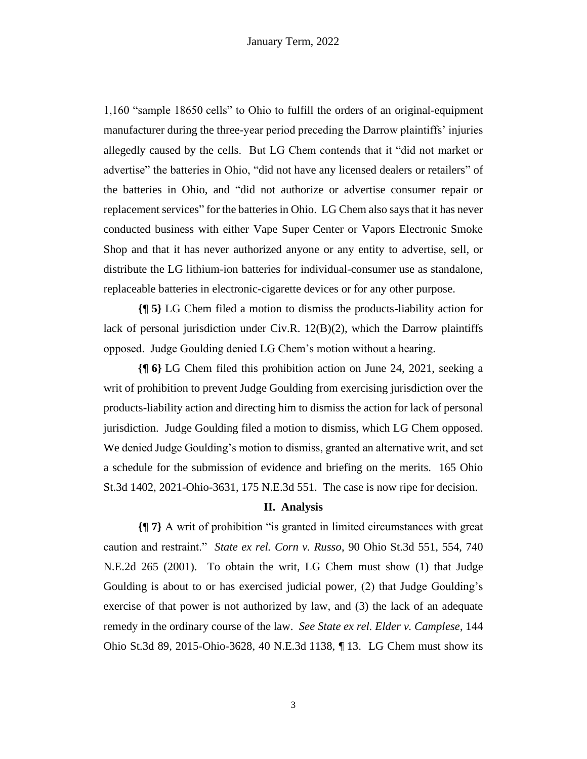1,160 "sample 18650 cells" to Ohio to fulfill the orders of an original-equipment manufacturer during the three-year period preceding the Darrow plaintiffs' injuries allegedly caused by the cells. But LG Chem contends that it "did not market or advertise" the batteries in Ohio, "did not have any licensed dealers or retailers" of the batteries in Ohio, and "did not authorize or advertise consumer repair or replacement services" for the batteries in Ohio. LG Chem also says that it has never conducted business with either Vape Super Center or Vapors Electronic Smoke Shop and that it has never authorized anyone or any entity to advertise, sell, or distribute the LG lithium-ion batteries for individual-consumer use as standalone, replaceable batteries in electronic-cigarette devices or for any other purpose.

**{¶ 5}** LG Chem filed a motion to dismiss the products-liability action for lack of personal jurisdiction under Civ.R.  $12(B)(2)$ , which the Darrow plaintiffs opposed. Judge Goulding denied LG Chem's motion without a hearing.

**{¶ 6}** LG Chem filed this prohibition action on June 24, 2021, seeking a writ of prohibition to prevent Judge Goulding from exercising jurisdiction over the products-liability action and directing him to dismiss the action for lack of personal jurisdiction. Judge Goulding filed a motion to dismiss, which LG Chem opposed. We denied Judge Goulding's motion to dismiss, granted an alternative writ, and set a schedule for the submission of evidence and briefing on the merits. 165 Ohio St.3d 1402, 2021-Ohio-3631, 175 N.E.3d 551. The case is now ripe for decision.

# **II. Analysis**

**{¶ 7}** A writ of prohibition "is granted in limited circumstances with great caution and restraint." *State ex rel. Corn v. Russo*, 90 Ohio St.3d 551, 554, 740 N.E.2d 265 (2001). To obtain the writ, LG Chem must show (1) that Judge Goulding is about to or has exercised judicial power, (2) that Judge Goulding's exercise of that power is not authorized by law, and (3) the lack of an adequate remedy in the ordinary course of the law. *See State ex rel. Elder v. Camplese*, 144 Ohio St.3d 89, 2015-Ohio-3628, 40 N.E.3d 1138, ¶ 13. LG Chem must show its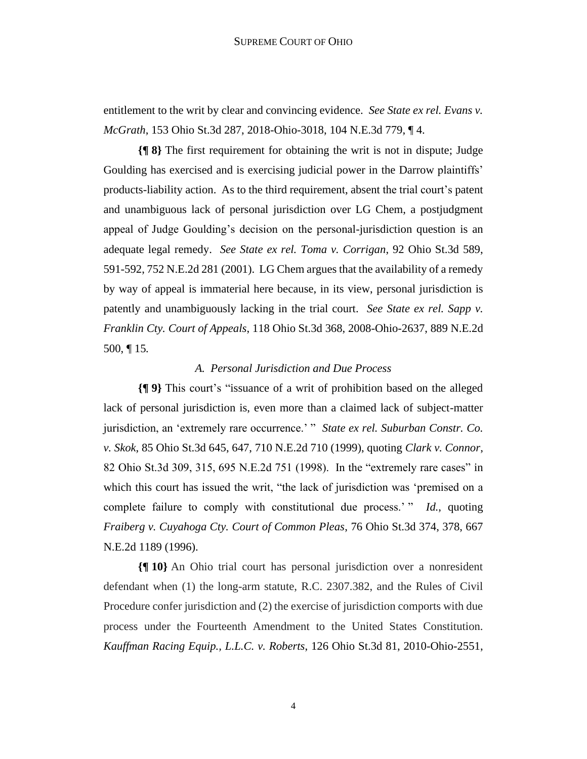entitlement to the writ by clear and convincing evidence. *See State ex rel. Evans v. McGrath*, 153 Ohio St.3d 287, 2018-Ohio-3018, 104 N.E.3d 779, ¶ 4.

**{¶ 8}** The first requirement for obtaining the writ is not in dispute; Judge Goulding has exercised and is exercising judicial power in the Darrow plaintiffs' products-liability action. As to the third requirement, absent the trial court's patent and unambiguous lack of personal jurisdiction over LG Chem, a postjudgment appeal of Judge Goulding's decision on the personal-jurisdiction question is an adequate legal remedy. *See State ex rel. Toma v. Corrigan*, 92 Ohio St.3d 589, 591-592, 752 N.E.2d 281 (2001). LG Chem argues that the availability of a remedy by way of appeal is immaterial here because, in its view, personal jurisdiction is patently and unambiguously lacking in the trial court. *See State ex rel. Sapp v. Franklin Cty. Court of Appeals*, 118 Ohio St.3d 368, 2008-Ohio-2637, 889 N.E.2d 500, ¶ 15*.*

### *A. Personal Jurisdiction and Due Process*

**{¶ 9}** This court's "issuance of a writ of prohibition based on the alleged lack of personal jurisdiction is, even more than a claimed lack of subject-matter jurisdiction, an 'extremely rare occurrence.' " *State ex rel. Suburban Constr. Co. v. Skok*, 85 Ohio St.3d 645, 647, 710 N.E.2d 710 (1999), quoting *Clark v. Connor*, 82 Ohio St.3d 309, 315, 695 N.E.2d 751 (1998). In the "extremely rare cases" in which this court has issued the writ, "the lack of jurisdiction was 'premised on a complete failure to comply with constitutional due process.' " *Id.*, quoting *Fraiberg v. Cuyahoga Cty. Court of Common Pleas*, 76 Ohio St.3d 374, 378, 667 N.E.2d 1189 (1996).

**{¶ 10}** An Ohio trial court has personal jurisdiction over a nonresident defendant when (1) the long-arm statute, R.C. 2307.382, and the Rules of Civil Procedure confer jurisdiction and (2) the exercise of jurisdiction comports with due process under the Fourteenth Amendment to the United States Constitution. *Kauffman Racing Equip., L.L.C. v. Roberts*, 126 Ohio St.3d 81, 2010-Ohio-2551,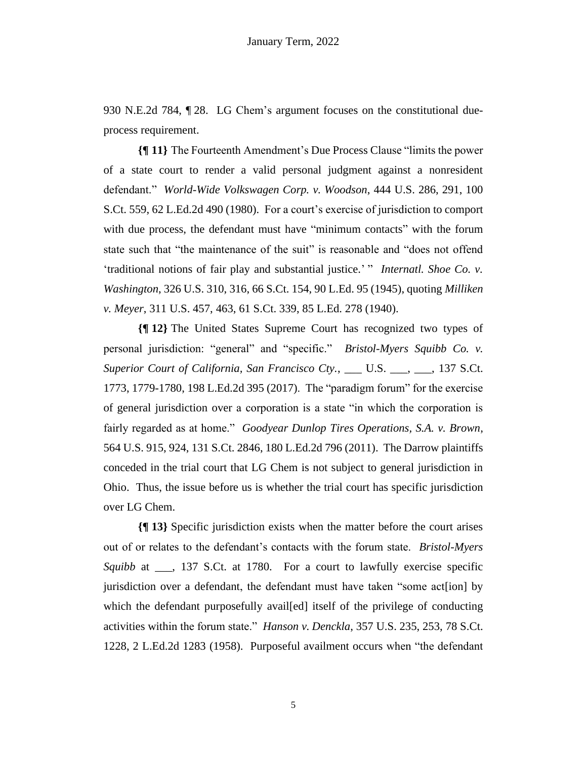930 N.E.2d 784, ¶ 28. LG Chem's argument focuses on the constitutional dueprocess requirement.

**{¶ 11}** The Fourteenth Amendment's Due Process Clause "limits the power of a state court to render a valid personal judgment against a nonresident defendant." *World-Wide Volkswagen Corp. v. Woodson*, 444 U.S. 286, 291, 100 S.Ct. 559, 62 L.Ed.2d 490 (1980). For a court's exercise of jurisdiction to comport with due process, the defendant must have "minimum contacts" with the forum state such that "the maintenance of the suit" is reasonable and "does not offend 'traditional notions of fair play and substantial justice.' " *Internatl. Shoe Co. v. Washington*, 326 U.S. 310, 316, 66 S.Ct. 154, 90 L.Ed. 95 (1945), quoting *Milliken v. Meyer*, 311 U.S. 457, 463, 61 S.Ct. 339, 85 L.Ed. 278 (1940).

**{¶ 12}** The United States Supreme Court has recognized two types of personal jurisdiction: "general" and "specific." *Bristol-Myers Squibb Co. v. Superior Court of California, San Francisco Cty.*, \_\_\_ U.S. \_\_\_, \_\_\_, 137 S.Ct. 1773, 1779-1780, 198 L.Ed.2d 395 (2017). The "paradigm forum" for the exercise of general jurisdiction over a corporation is a state "in which the corporation is fairly regarded as at home." *Goodyear Dunlop Tires Operations, S.A. v. Brown*, 564 U.S. 915, 924, 131 S.Ct. 2846, 180 L.Ed.2d 796 (2011). The Darrow plaintiffs conceded in the trial court that LG Chem is not subject to general jurisdiction in Ohio. Thus, the issue before us is whether the trial court has specific jurisdiction over LG Chem.

**{¶ 13}** Specific jurisdiction exists when the matter before the court arises out of or relates to the defendant's contacts with the forum state. *Bristol-Myers Squibb* at \_\_\_, 137 S.Ct. at 1780. For a court to lawfully exercise specific jurisdiction over a defendant, the defendant must have taken "some act[ion] by which the defendant purposefully availed itself of the privilege of conducting activities within the forum state." *Hanson v. Denckla*, 357 U.S. 235, 253, 78 S.Ct. 1228, 2 L.Ed.2d 1283 (1958). Purposeful availment occurs when "the defendant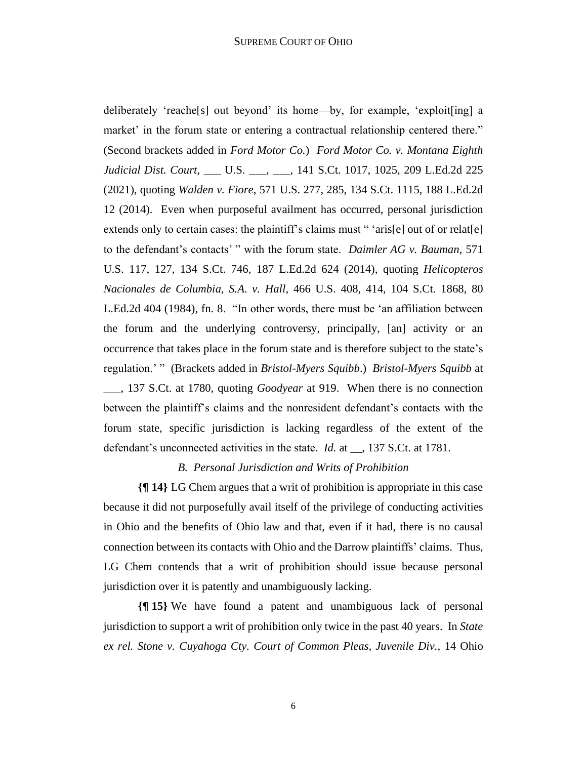deliberately 'reache[s] out beyond' its home—by, for example, 'exploit[ing] a market' in the forum state or entering a contractual relationship centered there." (Second brackets added in *Ford Motor Co.*) *Ford Motor Co. v. Montana Eighth Judicial Dist. Court*, \_\_\_ U.S. \_\_\_, \_\_\_, 141 S.Ct. 1017, 1025, 209 L.Ed.2d 225 (2021), quoting *Walden v. Fiore*, 571 U.S. 277, 285, 134 S.Ct. 1115, 188 L.Ed.2d 12 (2014). Even when purposeful availment has occurred, personal jurisdiction extends only to certain cases: the plaintiff's claims must "'aris[e] out of or relat[e] to the defendant's contacts' " with the forum state. *Daimler AG v. Bauman*, 571 U.S. 117, 127, 134 S.Ct. 746, 187 L.Ed.2d 624 (2014), quoting *Helicopteros Nacionales de Columbia, S.A. v. Hall*, 466 U.S. 408, 414, 104 S.Ct. 1868, 80 L.Ed.2d 404 (1984), fn. 8. "In other words, there must be 'an affiliation between the forum and the underlying controversy, principally, [an] activity or an occurrence that takes place in the forum state and is therefore subject to the state's regulation.' " (Brackets added in *Bristol-Myers Squibb*.) *Bristol-Myers Squibb* at \_\_\_, 137 S.Ct. at 1780, quoting *Goodyear* at 919. When there is no connection between the plaintiff's claims and the nonresident defendant's contacts with the forum state, specific jurisdiction is lacking regardless of the extent of the defendant's unconnected activities in the state. *Id.* at \_\_, 137 S.Ct. at 1781.

# *B. Personal Jurisdiction and Writs of Prohibition*

**{¶ 14}** LG Chem argues that a writ of prohibition is appropriate in this case because it did not purposefully avail itself of the privilege of conducting activities in Ohio and the benefits of Ohio law and that, even if it had, there is no causal connection between its contacts with Ohio and the Darrow plaintiffs' claims. Thus, LG Chem contends that a writ of prohibition should issue because personal jurisdiction over it is patently and unambiguously lacking.

**{¶ 15}** We have found a patent and unambiguous lack of personal jurisdiction to support a writ of prohibition only twice in the past 40 years. In *State ex rel. Stone v. Cuyahoga Cty. Court of Common Pleas, Juvenile Div.*, 14 Ohio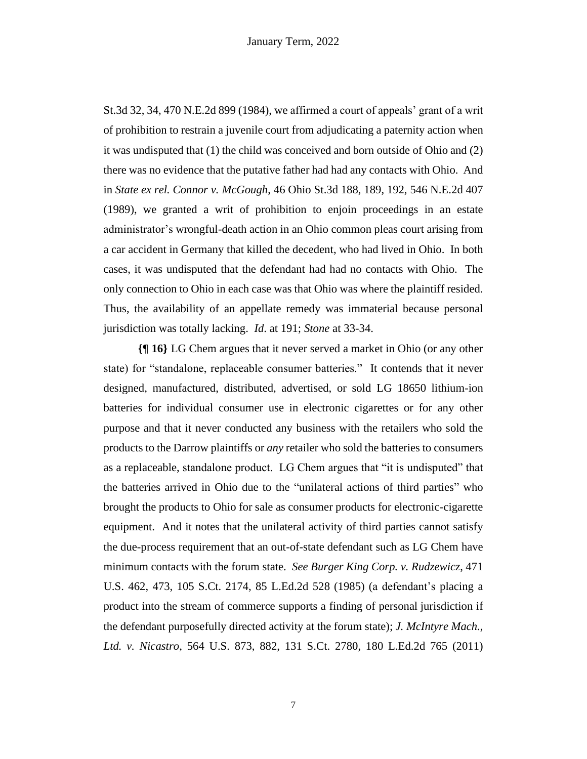St.3d 32, 34, 470 N.E.2d 899 (1984), we affirmed a court of appeals' grant of a writ of prohibition to restrain a juvenile court from adjudicating a paternity action when it was undisputed that (1) the child was conceived and born outside of Ohio and (2) there was no evidence that the putative father had had any contacts with Ohio. And in *State ex rel. Connor v. McGough*, 46 Ohio St.3d 188, 189, 192, 546 N.E.2d 407 (1989), we granted a writ of prohibition to enjoin proceedings in an estate administrator's wrongful-death action in an Ohio common pleas court arising from a car accident in Germany that killed the decedent, who had lived in Ohio. In both cases, it was undisputed that the defendant had had no contacts with Ohio. The only connection to Ohio in each case was that Ohio was where the plaintiff resided. Thus, the availability of an appellate remedy was immaterial because personal jurisdiction was totally lacking. *Id*. at 191; *Stone* at 33-34.

**{¶ 16}** LG Chem argues that it never served a market in Ohio (or any other state) for "standalone, replaceable consumer batteries." It contends that it never designed, manufactured, distributed, advertised, or sold LG 18650 lithium-ion batteries for individual consumer use in electronic cigarettes or for any other purpose and that it never conducted any business with the retailers who sold the products to the Darrow plaintiffs or *any* retailer who sold the batteries to consumers as a replaceable, standalone product. LG Chem argues that "it is undisputed" that the batteries arrived in Ohio due to the "unilateral actions of third parties" who brought the products to Ohio for sale as consumer products for electronic-cigarette equipment. And it notes that the unilateral activity of third parties cannot satisfy the due-process requirement that an out-of-state defendant such as LG Chem have minimum contacts with the forum state. *See Burger King Corp. v. Rudzewicz*, 471 U.S. 462, 473, 105 S.Ct. 2174, 85 L.Ed.2d 528 (1985) (a defendant's placing a product into the stream of commerce supports a finding of personal jurisdiction if the defendant purposefully directed activity at the forum state); *J. McIntyre Mach., Ltd. v. Nicastro*, 564 U.S. 873, 882, 131 S.Ct. 2780, 180 L.Ed.2d 765 (2011)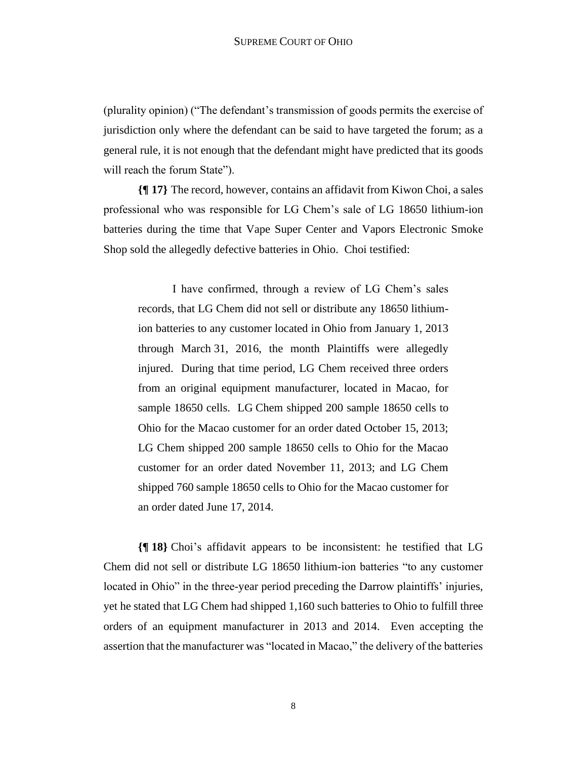(plurality opinion) ("The defendant's transmission of goods permits the exercise of jurisdiction only where the defendant can be said to have targeted the forum; as a general rule, it is not enough that the defendant might have predicted that its goods will reach the forum State").

**{¶ 17}** The record, however, contains an affidavit from Kiwon Choi, a sales professional who was responsible for LG Chem's sale of LG 18650 lithium-ion batteries during the time that Vape Super Center and Vapors Electronic Smoke Shop sold the allegedly defective batteries in Ohio. Choi testified:

I have confirmed, through a review of LG Chem's sales records, that LG Chem did not sell or distribute any 18650 lithiumion batteries to any customer located in Ohio from January 1, 2013 through March 31, 2016, the month Plaintiffs were allegedly injured. During that time period, LG Chem received three orders from an original equipment manufacturer, located in Macao, for sample 18650 cells. LG Chem shipped 200 sample 18650 cells to Ohio for the Macao customer for an order dated October 15, 2013; LG Chem shipped 200 sample 18650 cells to Ohio for the Macao customer for an order dated November 11, 2013; and LG Chem shipped 760 sample 18650 cells to Ohio for the Macao customer for an order dated June 17, 2014.

**{¶ 18}** Choi's affidavit appears to be inconsistent: he testified that LG Chem did not sell or distribute LG 18650 lithium-ion batteries "to any customer located in Ohio" in the three-year period preceding the Darrow plaintiffs' injuries, yet he stated that LG Chem had shipped 1,160 such batteries to Ohio to fulfill three orders of an equipment manufacturer in 2013 and 2014. Even accepting the assertion that the manufacturer was "located in Macao," the delivery of the batteries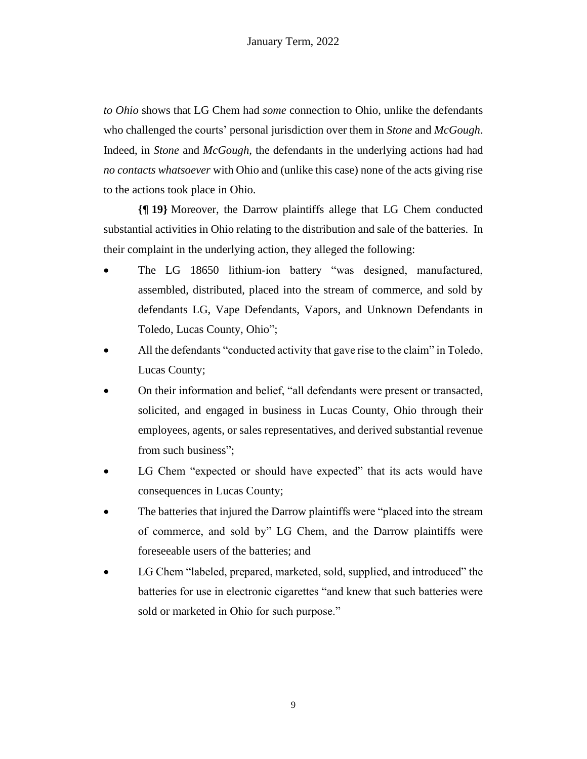*to Ohio* shows that LG Chem had *some* connection to Ohio, unlike the defendants who challenged the courts' personal jurisdiction over them in *Stone* and *McGough*. Indeed, in *Stone* and *McGough*, the defendants in the underlying actions had had *no contacts whatsoever* with Ohio and (unlike this case) none of the acts giving rise to the actions took place in Ohio.

**{¶ 19}** Moreover, the Darrow plaintiffs allege that LG Chem conducted substantial activities in Ohio relating to the distribution and sale of the batteries. In their complaint in the underlying action, they alleged the following:

- The LG 18650 lithium-ion battery "was designed, manufactured, assembled, distributed, placed into the stream of commerce, and sold by defendants LG, Vape Defendants, Vapors, and Unknown Defendants in Toledo, Lucas County, Ohio";
- All the defendants "conducted activity that gave rise to the claim" in Toledo, Lucas County;
- On their information and belief, "all defendants were present or transacted, solicited, and engaged in business in Lucas County, Ohio through their employees, agents, or sales representatives, and derived substantial revenue from such business";
- LG Chem "expected or should have expected" that its acts would have consequences in Lucas County;
- The batteries that injured the Darrow plaintiffs were "placed into the stream" of commerce, and sold by" LG Chem, and the Darrow plaintiffs were foreseeable users of the batteries; and
- LG Chem "labeled, prepared, marketed, sold, supplied, and introduced" the batteries for use in electronic cigarettes "and knew that such batteries were sold or marketed in Ohio for such purpose."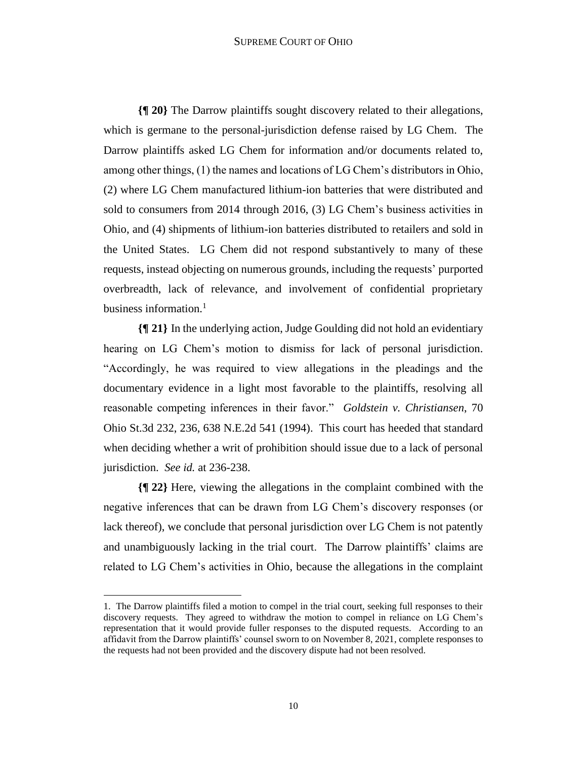#### SUPREME COURT OF OHIO

**{¶ 20}** The Darrow plaintiffs sought discovery related to their allegations, which is germane to the personal-jurisdiction defense raised by LG Chem. The Darrow plaintiffs asked LG Chem for information and/or documents related to, among other things, (1) the names and locations of LG Chem's distributors in Ohio, (2) where LG Chem manufactured lithium-ion batteries that were distributed and sold to consumers from 2014 through 2016, (3) LG Chem's business activities in Ohio, and (4) shipments of lithium-ion batteries distributed to retailers and sold in the United States. LG Chem did not respond substantively to many of these requests, instead objecting on numerous grounds, including the requests' purported overbreadth, lack of relevance, and involvement of confidential proprietary business information. $<sup>1</sup>$ </sup>

**{¶ 21}** In the underlying action, Judge Goulding did not hold an evidentiary hearing on LG Chem's motion to dismiss for lack of personal jurisdiction. "Accordingly, he was required to view allegations in the pleadings and the documentary evidence in a light most favorable to the plaintiffs, resolving all reasonable competing inferences in their favor." *Goldstein v. Christiansen*, 70 Ohio St.3d 232, 236, 638 N.E.2d 541 (1994). This court has heeded that standard when deciding whether a writ of prohibition should issue due to a lack of personal jurisdiction. *See id.* at 236-238.

**{¶ 22}** Here, viewing the allegations in the complaint combined with the negative inferences that can be drawn from LG Chem's discovery responses (or lack thereof), we conclude that personal jurisdiction over LG Chem is not patently and unambiguously lacking in the trial court. The Darrow plaintiffs' claims are related to LG Chem's activities in Ohio, because the allegations in the complaint

<sup>1.</sup> The Darrow plaintiffs filed a motion to compel in the trial court, seeking full responses to their discovery requests. They agreed to withdraw the motion to compel in reliance on LG Chem's representation that it would provide fuller responses to the disputed requests. According to an affidavit from the Darrow plaintiffs' counsel sworn to on November 8, 2021, complete responses to the requests had not been provided and the discovery dispute had not been resolved.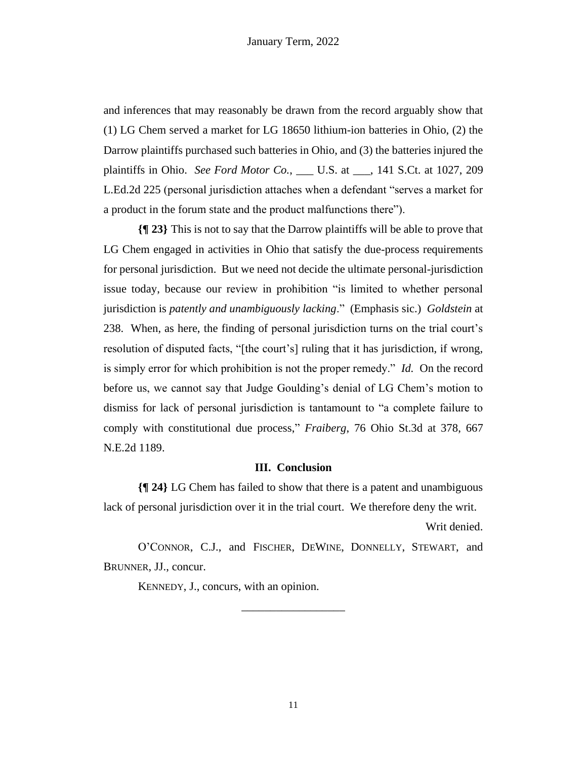and inferences that may reasonably be drawn from the record arguably show that (1) LG Chem served a market for LG 18650 lithium-ion batteries in Ohio, (2) the Darrow plaintiffs purchased such batteries in Ohio, and (3) the batteries injured the plaintiffs in Ohio. *See Ford Motor Co.*, \_\_\_ U.S. at \_\_\_, 141 S.Ct. at 1027, 209 L.Ed.2d 225 (personal jurisdiction attaches when a defendant "serves a market for a product in the forum state and the product malfunctions there").

**{¶ 23}** This is not to say that the Darrow plaintiffs will be able to prove that LG Chem engaged in activities in Ohio that satisfy the due-process requirements for personal jurisdiction. But we need not decide the ultimate personal-jurisdiction issue today, because our review in prohibition "is limited to whether personal jurisdiction is *patently and unambiguously lacking*." (Emphasis sic.) *Goldstein* at 238. When, as here, the finding of personal jurisdiction turns on the trial court's resolution of disputed facts, "[the court's] ruling that it has jurisdiction, if wrong, is simply error for which prohibition is not the proper remedy." *Id.* On the record before us, we cannot say that Judge Goulding's denial of LG Chem's motion to dismiss for lack of personal jurisdiction is tantamount to "a complete failure to comply with constitutional due process," *Fraiberg*, 76 Ohio St.3d at 378, 667 N.E.2d 1189.

## **III. Conclusion**

**{¶ 24}** LG Chem has failed to show that there is a patent and unambiguous lack of personal jurisdiction over it in the trial court. We therefore deny the writ.

Writ denied.

O'CONNOR, C.J., and FISCHER, DEWINE, DONNELLY, STEWART, and BRUNNER, JJ., concur.

\_\_\_\_\_\_\_\_\_\_\_\_\_\_\_\_\_\_

KENNEDY, J., concurs, with an opinion.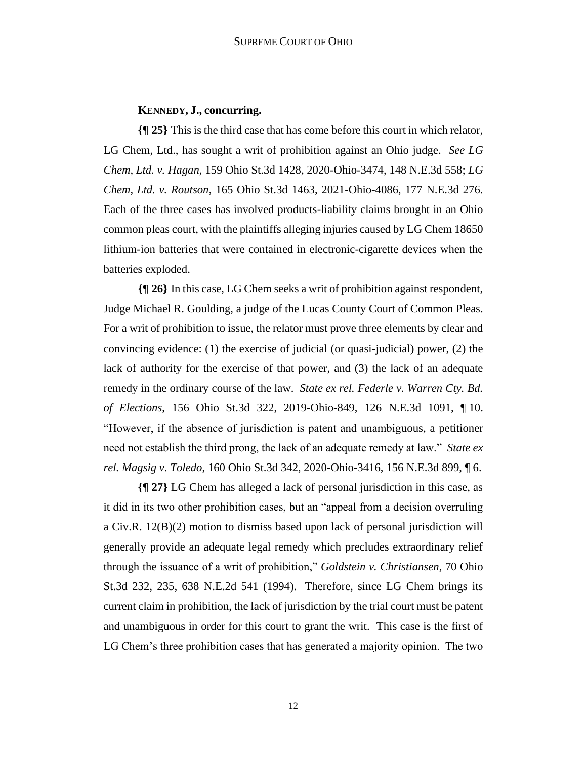# **KENNEDY, J., concurring.**

**{¶ 25}** This is the third case that has come before this court in which relator, LG Chem, Ltd., has sought a writ of prohibition against an Ohio judge. *See LG Chem, Ltd. v. Hagan*, 159 Ohio St.3d 1428, 2020-Ohio-3474, 148 N.E.3d 558; *LG Chem, Ltd. v. Routson*, 165 Ohio St.3d 1463, 2021-Ohio-4086, 177 N.E.3d 276. Each of the three cases has involved products-liability claims brought in an Ohio common pleas court, with the plaintiffs alleging injuries caused by LG Chem 18650 lithium-ion batteries that were contained in electronic-cigarette devices when the batteries exploded.

**{¶ 26}** In this case, LG Chem seeks a writ of prohibition against respondent, Judge Michael R. Goulding, a judge of the Lucas County Court of Common Pleas. For a writ of prohibition to issue, the relator must prove three elements by clear and convincing evidence: (1) the exercise of judicial (or quasi-judicial) power, (2) the lack of authority for the exercise of that power, and (3) the lack of an adequate remedy in the ordinary course of the law. *State ex rel. Federle v. Warren Cty. Bd. of Elections*, 156 Ohio St.3d 322, 2019-Ohio-849, 126 N.E.3d 1091, ¶ 10. "However, if the absence of jurisdiction is patent and unambiguous, a petitioner need not establish the third prong, the lack of an adequate remedy at law." *State ex rel. Magsig v. Toledo*, 160 Ohio St.3d 342, 2020-Ohio-3416, 156 N.E.3d 899, ¶ 6.

**{¶ 27}** LG Chem has alleged a lack of personal jurisdiction in this case, as it did in its two other prohibition cases, but an "appeal from a decision overruling a Civ.R. 12(B)(2) motion to dismiss based upon lack of personal jurisdiction will generally provide an adequate legal remedy which precludes extraordinary relief through the issuance of a writ of prohibition," *Goldstein v. Christiansen*, 70 Ohio St.3d 232, 235, 638 N.E.2d 541 (1994). Therefore, since LG Chem brings its current claim in prohibition, the lack of jurisdiction by the trial court must be patent and unambiguous in order for this court to grant the writ. This case is the first of LG Chem's three prohibition cases that has generated a majority opinion. The two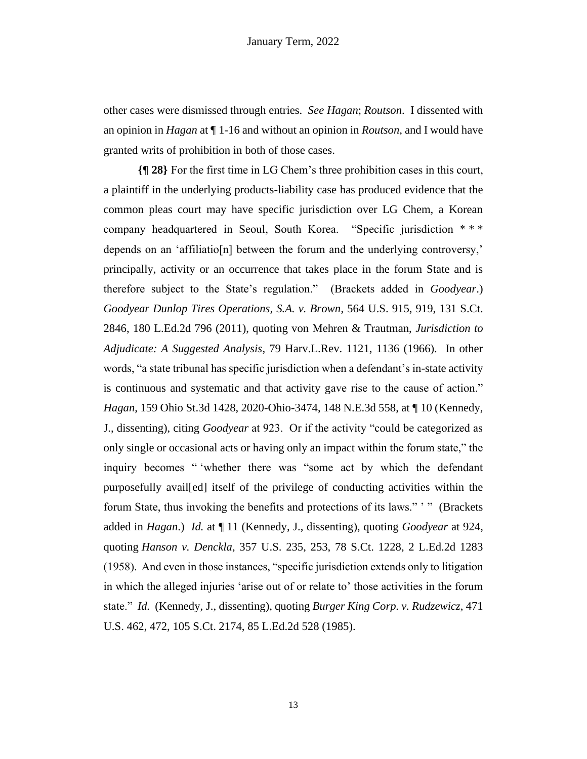other cases were dismissed through entries. *See Hagan*; *Routson*. I dissented with an opinion in *Hagan* at ¶ 1-16 and without an opinion in *Routson*, and I would have granted writs of prohibition in both of those cases.

**{¶ 28}** For the first time in LG Chem's three prohibition cases in this court, a plaintiff in the underlying products-liability case has produced evidence that the common pleas court may have specific jurisdiction over LG Chem, a Korean company headquartered in Seoul, South Korea. "Specific jurisdiction \* \* \* depends on an 'affiliatio[n] between the forum and the underlying controversy,' principally, activity or an occurrence that takes place in the forum State and is therefore subject to the State's regulation." (Brackets added in *Goodyear*.) *Goodyear Dunlop Tires Operations, S.A. v. Brown*, 564 U.S. 915, 919, 131 S.Ct. 2846, 180 L.Ed.2d 796 (2011), quoting von Mehren & Trautman, *Jurisdiction to Adjudicate: A Suggested Analysis*, 79 Harv.L.Rev. 1121, 1136 (1966). In other words, "a state tribunal has specific jurisdiction when a defendant's in-state activity is continuous and systematic and that activity gave rise to the cause of action." *Hagan*, 159 Ohio St.3d 1428, 2020-Ohio-3474, 148 N.E.3d 558, at ¶ 10 (Kennedy, J., dissenting), citing *Goodyear* at 923. Or if the activity "could be categorized as only single or occasional acts or having only an impact within the forum state," the inquiry becomes " 'whether there was "some act by which the defendant purposefully avail[ed] itself of the privilege of conducting activities within the forum State, thus invoking the benefits and protections of its laws." ' " (Brackets added in *Hagan*.) *Id.* at ¶ 11 (Kennedy, J., dissenting), quoting *Goodyear* at 924, quoting *Hanson v. Denckla*, 357 U.S. 235, 253, 78 S.Ct. 1228, 2 L.Ed.2d 1283 (1958). And even in those instances, "specific jurisdiction extends only to litigation in which the alleged injuries 'arise out of or relate to' those activities in the forum state." *Id.* (Kennedy, J., dissenting), quoting *Burger King Corp. v. Rudzewicz*, 471 U.S. 462, 472, 105 S.Ct. 2174, 85 L.Ed.2d 528 (1985).